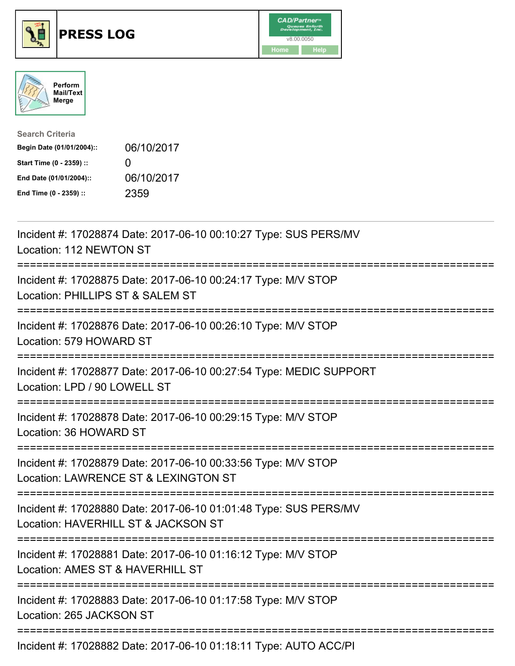





| <b>Search Criteria</b>    |                   |
|---------------------------|-------------------|
| Begin Date (01/01/2004):: | 06/10/2017        |
| Start Time (0 - 2359) ::  | $\mathbf{\Omega}$ |
| End Date (01/01/2004)::   | 06/10/2017        |
| End Time (0 - 2359) ::    | 2359              |

| Incident #: 17028874 Date: 2017-06-10 00:10:27 Type: SUS PERS/MV<br>Location: 112 NEWTON ST                                                                                                                                                                                                                                                                                          |
|--------------------------------------------------------------------------------------------------------------------------------------------------------------------------------------------------------------------------------------------------------------------------------------------------------------------------------------------------------------------------------------|
| Incident #: 17028875 Date: 2017-06-10 00:24:17 Type: M/V STOP<br>Location: PHILLIPS ST & SALEM ST                                                                                                                                                                                                                                                                                    |
| Incident #: 17028876 Date: 2017-06-10 00:26:10 Type: M/V STOP<br>Location: 579 HOWARD ST                                                                                                                                                                                                                                                                                             |
| Incident #: 17028877 Date: 2017-06-10 00:27:54 Type: MEDIC SUPPORT<br>Location: LPD / 90 LOWELL ST                                                                                                                                                                                                                                                                                   |
| Incident #: 17028878 Date: 2017-06-10 00:29:15 Type: M/V STOP<br>Location: 36 HOWARD ST                                                                                                                                                                                                                                                                                              |
| :===================================<br>Incident #: 17028879 Date: 2017-06-10 00:33:56 Type: M/V STOP<br>Location: LAWRENCE ST & LEXINGTON ST                                                                                                                                                                                                                                        |
| .----------------------------------<br>Incident #: 17028880 Date: 2017-06-10 01:01:48 Type: SUS PERS/MV<br>Location: HAVERHILL ST & JACKSON ST                                                                                                                                                                                                                                       |
| Incident #: 17028881 Date: 2017-06-10 01:16:12 Type: M/V STOP<br>Location: AMES ST & HAVERHILL ST                                                                                                                                                                                                                                                                                    |
| =============<br>Incident #: 17028883 Date: 2017-06-10 01:17:58 Type: M/V STOP<br>Location: 265 JACKSON ST                                                                                                                                                                                                                                                                           |
| $\overline{1}$ $\overline{1}$ $\overline{1}$ $\overline{1}$ $\overline{2}$ $\overline{3}$ $\overline{2}$ $\overline{1}$ $\overline{2}$ $\overline{1}$ $\overline{1}$ $\overline{2}$ $\overline{3}$ $\overline{1}$ $\overline{1}$ $\overline{2}$ $\overline{1}$ $\overline{1}$ $\overline{1}$ $\overline{1}$ $\overline{1}$ $\overline{1}$ $\overline{1}$ $\overline{1}$ $\overline{$ |

Incident #: 17028882 Date: 2017-06-10 01:18:11 Type: AUTO ACC/PI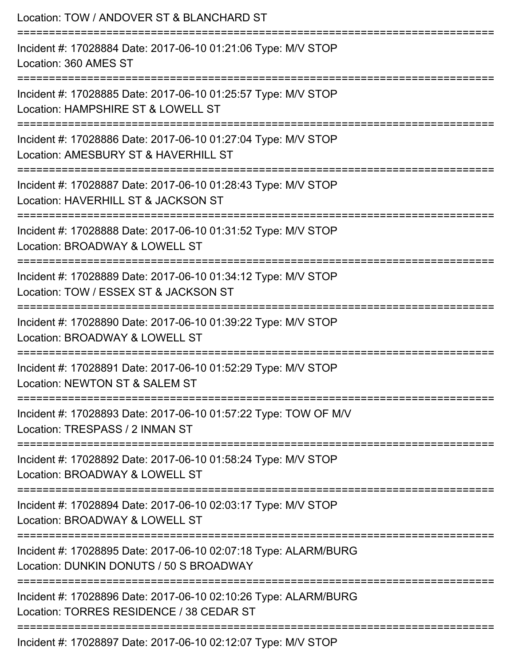| Location: TOW / ANDOVER ST & BLANCHARD ST<br>==============================                                                      |
|----------------------------------------------------------------------------------------------------------------------------------|
| Incident #: 17028884 Date: 2017-06-10 01:21:06 Type: M/V STOP<br>Location: 360 AMES ST<br>===================                    |
| Incident #: 17028885 Date: 2017-06-10 01:25:57 Type: M/V STOP<br>Location: HAMPSHIRE ST & LOWELL ST                              |
| Incident #: 17028886 Date: 2017-06-10 01:27:04 Type: M/V STOP<br>Location: AMESBURY ST & HAVERHILL ST                            |
| Incident #: 17028887 Date: 2017-06-10 01:28:43 Type: M/V STOP<br>Location: HAVERHILL ST & JACKSON ST                             |
| Incident #: 17028888 Date: 2017-06-10 01:31:52 Type: M/V STOP<br>Location: BROADWAY & LOWELL ST                                  |
| ======================<br>Incident #: 17028889 Date: 2017-06-10 01:34:12 Type: M/V STOP<br>Location: TOW / ESSEX ST & JACKSON ST |
| Incident #: 17028890 Date: 2017-06-10 01:39:22 Type: M/V STOP<br>Location: BROADWAY & LOWELL ST                                  |
| Incident #: 17028891 Date: 2017-06-10 01:52:29 Type: M/V STOP<br>Location: NEWTON ST & SALEM ST                                  |
| Incident #: 17028893 Date: 2017-06-10 01:57:22 Type: TOW OF M/V<br>Location: TRESPASS / 2 INMAN ST                               |
| Incident #: 17028892 Date: 2017-06-10 01:58:24 Type: M/V STOP<br>Location: BROADWAY & LOWELL ST                                  |
| Incident #: 17028894 Date: 2017-06-10 02:03:17 Type: M/V STOP<br>Location: BROADWAY & LOWELL ST                                  |
| Incident #: 17028895 Date: 2017-06-10 02:07:18 Type: ALARM/BURG<br>Location: DUNKIN DONUTS / 50 S BROADWAY                       |
| Incident #: 17028896 Date: 2017-06-10 02:10:26 Type: ALARM/BURG<br>Location: TORRES RESIDENCE / 38 CEDAR ST                      |
| Incident #: 17028897 Date: 2017-06-10 02:12:07 Type: M/V STOP                                                                    |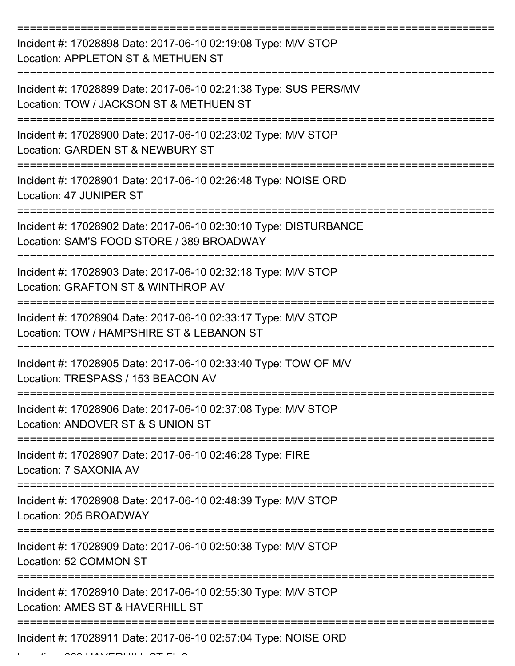| Incident #: 17028898 Date: 2017-06-10 02:19:08 Type: M/V STOP<br>Location: APPLETON ST & METHUEN ST           |
|---------------------------------------------------------------------------------------------------------------|
| Incident #: 17028899 Date: 2017-06-10 02:21:38 Type: SUS PERS/MV<br>Location: TOW / JACKSON ST & METHUEN ST   |
| Incident #: 17028900 Date: 2017-06-10 02:23:02 Type: M/V STOP<br>Location: GARDEN ST & NEWBURY ST             |
| Incident #: 17028901 Date: 2017-06-10 02:26:48 Type: NOISE ORD<br>Location: 47 JUNIPER ST                     |
| Incident #: 17028902 Date: 2017-06-10 02:30:10 Type: DISTURBANCE<br>Location: SAM'S FOOD STORE / 389 BROADWAY |
| Incident #: 17028903 Date: 2017-06-10 02:32:18 Type: M/V STOP<br>Location: GRAFTON ST & WINTHROP AV           |
| Incident #: 17028904 Date: 2017-06-10 02:33:17 Type: M/V STOP<br>Location: TOW / HAMPSHIRE ST & LEBANON ST    |
| Incident #: 17028905 Date: 2017-06-10 02:33:40 Type: TOW OF M/V<br>Location: TRESPASS / 153 BEACON AV         |
| Incident #: 17028906 Date: 2017-06-10 02:37:08 Type: M/V STOP<br>Location: ANDOVER ST & S UNION ST            |
| Incident #: 17028907 Date: 2017-06-10 02:46:28 Type: FIRE<br>Location: 7 SAXONIA AV                           |
| Incident #: 17028908 Date: 2017-06-10 02:48:39 Type: M/V STOP<br>Location: 205 BROADWAY                       |
| Incident #: 17028909 Date: 2017-06-10 02:50:38 Type: M/V STOP<br>Location: 52 COMMON ST                       |
| Incident #: 17028910 Date: 2017-06-10 02:55:30 Type: M/V STOP<br>Location: AMES ST & HAVERHILL ST             |
| Incident #: 17028911 Date: 2017-06-10 02:57:04 Type: NOISE ORD                                                |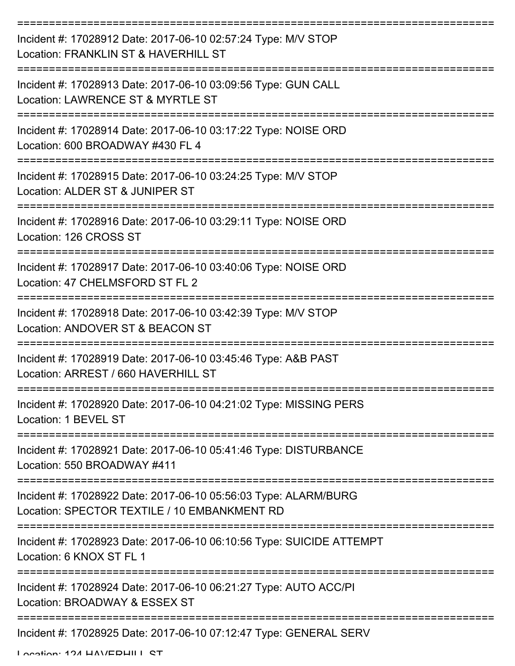| Incident #: 17028912 Date: 2017-06-10 02:57:24 Type: M/V STOP<br>Location: FRANKLIN ST & HAVERHILL ST           |
|-----------------------------------------------------------------------------------------------------------------|
| Incident #: 17028913 Date: 2017-06-10 03:09:56 Type: GUN CALL<br>Location: LAWRENCE ST & MYRTLE ST              |
| Incident #: 17028914 Date: 2017-06-10 03:17:22 Type: NOISE ORD<br>Location: 600 BROADWAY #430 FL 4              |
| Incident #: 17028915 Date: 2017-06-10 03:24:25 Type: M/V STOP<br>Location: ALDER ST & JUNIPER ST                |
| Incident #: 17028916 Date: 2017-06-10 03:29:11 Type: NOISE ORD<br>Location: 126 CROSS ST                        |
| Incident #: 17028917 Date: 2017-06-10 03:40:06 Type: NOISE ORD<br>Location: 47 CHELMSFORD ST FL 2               |
| Incident #: 17028918 Date: 2017-06-10 03:42:39 Type: M/V STOP<br>Location: ANDOVER ST & BEACON ST               |
| Incident #: 17028919 Date: 2017-06-10 03:45:46 Type: A&B PAST<br>Location: ARREST / 660 HAVERHILL ST            |
| Incident #: 17028920 Date: 2017-06-10 04:21:02 Type: MISSING PERS<br>Location: 1 BEVEL ST                       |
| Incident #: 17028921 Date: 2017-06-10 05:41:46 Type: DISTURBANCE<br>Location: 550 BROADWAY #411                 |
| Incident #: 17028922 Date: 2017-06-10 05:56:03 Type: ALARM/BURG<br>Location: SPECTOR TEXTILE / 10 EMBANKMENT RD |
| Incident #: 17028923 Date: 2017-06-10 06:10:56 Type: SUICIDE ATTEMPT<br>Location: 6 KNOX ST FL 1                |
| Incident #: 17028924 Date: 2017-06-10 06:21:27 Type: AUTO ACC/PI<br>Location: BROADWAY & ESSEX ST               |
| Incident #: 17028925 Date: 2017-06-10 07:12:47 Type: GENERAL SERV                                               |

Location: 124 HAV/EDHILL CT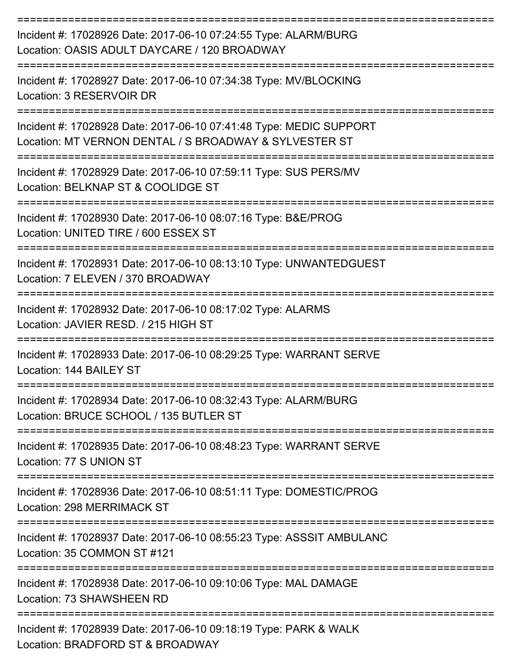| Incident #: 17028926 Date: 2017-06-10 07:24:55 Type: ALARM/BURG<br>Location: OASIS ADULT DAYCARE / 120 BROADWAY<br>================================            |
|----------------------------------------------------------------------------------------------------------------------------------------------------------------|
| Incident #: 17028927 Date: 2017-06-10 07:34:38 Type: MV/BLOCKING<br>Location: 3 RESERVOIR DR                                                                   |
| Incident #: 17028928 Date: 2017-06-10 07:41:48 Type: MEDIC SUPPORT<br>Location: MT VERNON DENTAL / S BROADWAY & SYLVESTER ST<br>============================== |
| Incident #: 17028929 Date: 2017-06-10 07:59:11 Type: SUS PERS/MV<br>Location: BELKNAP ST & COOLIDGE ST<br>.------------------                                  |
| Incident #: 17028930 Date: 2017-06-10 08:07:16 Type: B&E/PROG<br>Location: UNITED TIRE / 600 ESSEX ST                                                          |
| Incident #: 17028931 Date: 2017-06-10 08:13:10 Type: UNWANTEDGUEST<br>Location: 7 ELEVEN / 370 BROADWAY                                                        |
| Incident #: 17028932 Date: 2017-06-10 08:17:02 Type: ALARMS<br>Location: JAVIER RESD, / 215 HIGH ST                                                            |
| Incident #: 17028933 Date: 2017-06-10 08:29:25 Type: WARRANT SERVE<br>Location: 144 BAIL FY ST                                                                 |
| Incident #: 17028934 Date: 2017-06-10 08:32:43 Type: ALARM/BURG<br>Location: BRUCE SCHOOL / 135 BUTLER ST                                                      |
| Incident #: 17028935 Date: 2017-06-10 08:48:23 Type: WARRANT SERVE<br>Location: 77 S UNION ST                                                                  |
| Incident #: 17028936 Date: 2017-06-10 08:51:11 Type: DOMESTIC/PROG<br>Location: 298 MERRIMACK ST                                                               |
| Incident #: 17028937 Date: 2017-06-10 08:55:23 Type: ASSSIT AMBULANC<br>Location: 35 COMMON ST #121                                                            |
| Incident #: 17028938 Date: 2017-06-10 09:10:06 Type: MAL DAMAGE<br>Location: 73 SHAWSHEEN RD                                                                   |
| Incident #: 17028939 Date: 2017-06-10 09:18:19 Type: PARK & WALK                                                                                               |

Location: BRADFORD ST & BROADWAY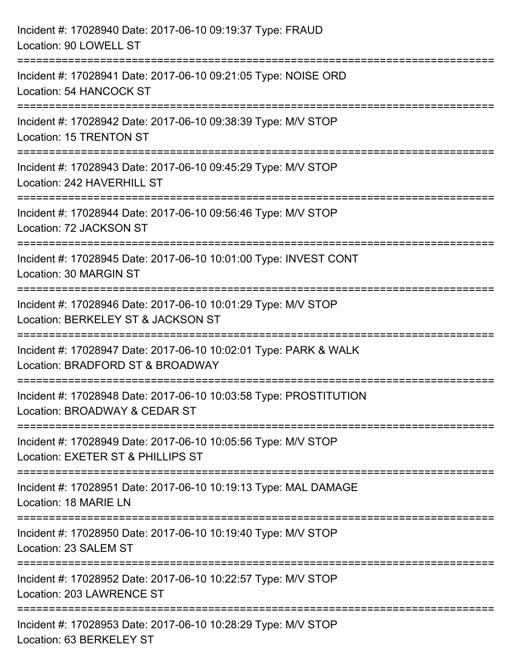| Incident #: 17028940 Date: 2017-06-10 09:19:37 Type: FRAUD<br>Location: 90 LOWELL ST                                                         |
|----------------------------------------------------------------------------------------------------------------------------------------------|
| :===============================<br>Incident #: 17028941 Date: 2017-06-10 09:21:05 Type: NOISE ORD<br>Location: 54 HANCOCK ST                |
| Incident #: 17028942 Date: 2017-06-10 09:38:39 Type: M/V STOP<br>Location: 15 TRENTON ST                                                     |
| Incident #: 17028943 Date: 2017-06-10 09:45:29 Type: M/V STOP<br>Location: 242 HAVERHILL ST                                                  |
| Incident #: 17028944 Date: 2017-06-10 09:56:46 Type: M/V STOP<br>Location: 72 JACKSON ST                                                     |
| Incident #: 17028945 Date: 2017-06-10 10:01:00 Type: INVEST CONT<br>Location: 30 MARGIN ST                                                   |
| -------------------------------------<br>Incident #: 17028946 Date: 2017-06-10 10:01:29 Type: M/V STOP<br>Location: BERKELEY ST & JACKSON ST |
| Incident #: 17028947 Date: 2017-06-10 10:02:01 Type: PARK & WALK<br>Location: BRADFORD ST & BROADWAY                                         |
| Incident #: 17028948 Date: 2017-06-10 10:03:58 Type: PROSTITUTION<br>Location: BROADWAY & CEDAR ST                                           |
| Incident #: 17028949 Date: 2017-06-10 10:05:56 Type: M/V STOP<br>Location: EXETER ST & PHILLIPS ST                                           |
| Incident #: 17028951 Date: 2017-06-10 10:19:13 Type: MAL DAMAGE<br>Location: 18 MARIE LN                                                     |
| Incident #: 17028950 Date: 2017-06-10 10:19:40 Type: M/V STOP<br>Location: 23 SALEM ST                                                       |
| Incident #: 17028952 Date: 2017-06-10 10:22:57 Type: M/V STOP<br>Location: 203 LAWRENCE ST                                                   |
| Incident #: 17028953 Date: 2017-06-10 10:28:29 Type: M/V STOP<br>Location: 63 BERKELEY ST                                                    |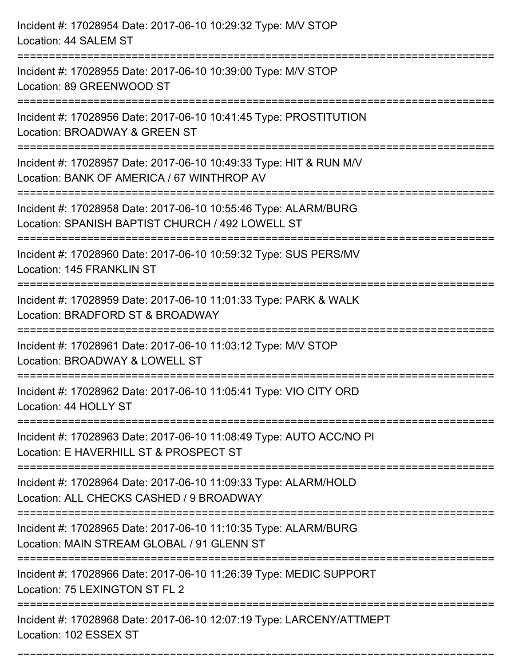| Incident #: 17028954 Date: 2017-06-10 10:29:32 Type: M/V STOP<br>Location: 44 SALEM ST                                                                   |
|----------------------------------------------------------------------------------------------------------------------------------------------------------|
| Incident #: 17028955 Date: 2017-06-10 10:39:00 Type: M/V STOP<br>Location: 89 GREENWOOD ST                                                               |
| Incident #: 17028956 Date: 2017-06-10 10:41:45 Type: PROSTITUTION<br>Location: BROADWAY & GREEN ST                                                       |
| Incident #: 17028957 Date: 2017-06-10 10:49:33 Type: HIT & RUN M/V<br>Location: BANK OF AMERICA / 67 WINTHROP AV                                         |
| Incident #: 17028958 Date: 2017-06-10 10:55:46 Type: ALARM/BURG<br>Location: SPANISH BAPTIST CHURCH / 492 LOWELL ST<br>================================= |
| Incident #: 17028960 Date: 2017-06-10 10:59:32 Type: SUS PERS/MV<br>Location: 145 FRANKLIN ST                                                            |
| Incident #: 17028959 Date: 2017-06-10 11:01:33 Type: PARK & WALK<br>Location: BRADFORD ST & BROADWAY<br>==============                                   |
| Incident #: 17028961 Date: 2017-06-10 11:03:12 Type: M/V STOP<br>Location: BROADWAY & LOWELL ST                                                          |
| Incident #: 17028962 Date: 2017-06-10 11:05:41 Type: VIO CITY ORD<br>Location: 44 HOLLY ST                                                               |
| Incident #: 17028963 Date: 2017-06-10 11:08:49 Type: AUTO ACC/NO PI<br>Location: E HAVERHILL ST & PROSPECT ST                                            |
| Incident #: 17028964 Date: 2017-06-10 11:09:33 Type: ALARM/HOLD<br>Location: ALL CHECKS CASHED / 9 BROADWAY                                              |
| Incident #: 17028965 Date: 2017-06-10 11:10:35 Type: ALARM/BURG<br>Location: MAIN STREAM GLOBAL / 91 GLENN ST                                            |
| Incident #: 17028966 Date: 2017-06-10 11:26:39 Type: MEDIC SUPPORT<br>Location: 75 LEXINGTON ST FL 2                                                     |
| Incident #: 17028968 Date: 2017-06-10 12:07:19 Type: LARCENY/ATTMEPT<br>Location: 102 ESSEX ST                                                           |

===========================================================================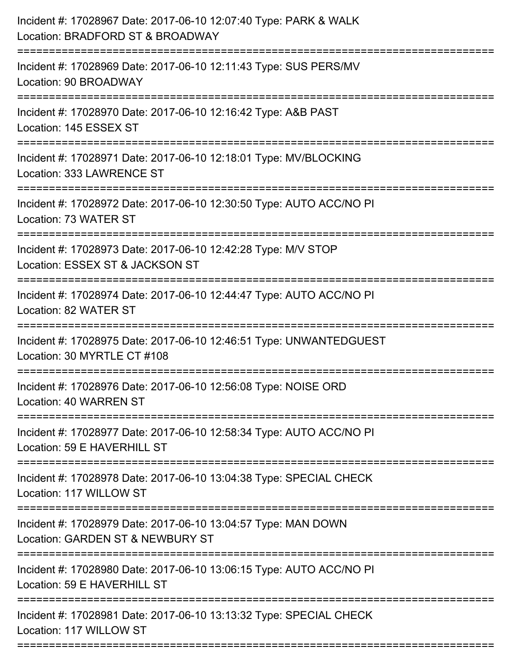| Incident #: 17028967 Date: 2017-06-10 12:07:40 Type: PARK & WALK<br>Location: BRADFORD ST & BROADWAY<br>=======================                      |
|------------------------------------------------------------------------------------------------------------------------------------------------------|
| Incident #: 17028969 Date: 2017-06-10 12:11:43 Type: SUS PERS/MV<br>Location: 90 BROADWAY                                                            |
| Incident #: 17028970 Date: 2017-06-10 12:16:42 Type: A&B PAST<br>Location: 145 ESSEX ST                                                              |
| Incident #: 17028971 Date: 2017-06-10 12:18:01 Type: MV/BLOCKING<br>Location: 333 LAWRENCE ST                                                        |
| Incident #: 17028972 Date: 2017-06-10 12:30:50 Type: AUTO ACC/NO PI<br>Location: 73 WATER ST<br>------------------------------<br>------------------ |
| Incident #: 17028973 Date: 2017-06-10 12:42:28 Type: M/V STOP<br>Location: ESSEX ST & JACKSON ST                                                     |
| Incident #: 17028974 Date: 2017-06-10 12:44:47 Type: AUTO ACC/NO PI<br>Location: 82 WATER ST                                                         |
| Incident #: 17028975 Date: 2017-06-10 12:46:51 Type: UNWANTEDGUEST<br>Location: 30 MYRTLE CT #108                                                    |
| Incident #: 17028976 Date: 2017-06-10 12:56:08 Type: NOISE ORD<br>Location: 40 WARREN ST                                                             |
| =========================<br>Incident #: 17028977 Date: 2017-06-10 12:58:34 Type: AUTO ACC/NO PI<br>Location: 59 E HAVERHILL ST                      |
| Incident #: 17028978 Date: 2017-06-10 13:04:38 Type: SPECIAL CHECK<br>Location: 117 WILLOW ST                                                        |
| :==================================<br>Incident #: 17028979 Date: 2017-06-10 13:04:57 Type: MAN DOWN<br>Location: GARDEN ST & NEWBURY ST             |
| Incident #: 17028980 Date: 2017-06-10 13:06:15 Type: AUTO ACC/NO PI<br>Location: 59 E HAVERHILL ST                                                   |
| Incident #: 17028981 Date: 2017-06-10 13:13:32 Type: SPECIAL CHECK<br>Location: 117 WILLOW ST                                                        |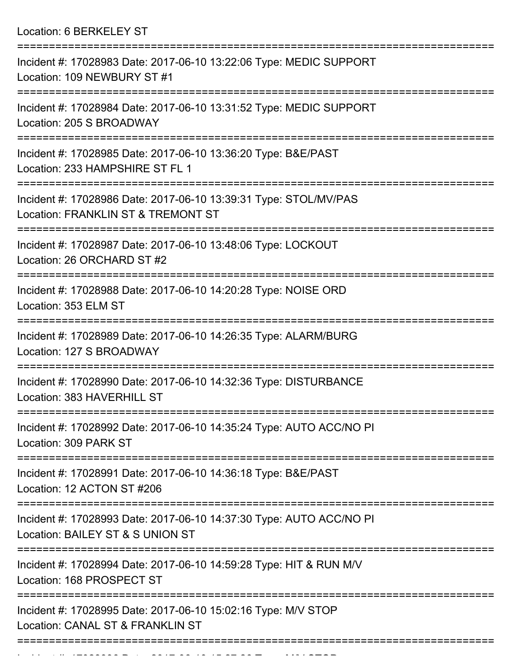Location: 6 BERKELEY ST

| Incident #: 17028983 Date: 2017-06-10 13:22:06 Type: MEDIC SUPPORT<br>Location: 109 NEWBURY ST #1       |
|---------------------------------------------------------------------------------------------------------|
| Incident #: 17028984 Date: 2017-06-10 13:31:52 Type: MEDIC SUPPORT<br>Location: 205 S BROADWAY          |
| Incident #: 17028985 Date: 2017-06-10 13:36:20 Type: B&E/PAST<br>Location: 233 HAMPSHIRE ST FL 1        |
| Incident #: 17028986 Date: 2017-06-10 13:39:31 Type: STOL/MV/PAS<br>Location: FRANKLIN ST & TREMONT ST  |
| Incident #: 17028987 Date: 2017-06-10 13:48:06 Type: LOCKOUT<br>Location: 26 ORCHARD ST #2              |
| Incident #: 17028988 Date: 2017-06-10 14:20:28 Type: NOISE ORD<br>Location: 353 ELM ST                  |
| Incident #: 17028989 Date: 2017-06-10 14:26:35 Type: ALARM/BURG<br>Location: 127 S BROADWAY             |
| Incident #: 17028990 Date: 2017-06-10 14:32:36 Type: DISTURBANCE<br>Location: 383 HAVERHILL ST          |
| Incident #: 17028992 Date: 2017-06-10 14:35:24 Type: AUTO ACC/NO PI<br>Location: 309 PARK ST            |
| Incident #: 17028991 Date: 2017-06-10 14:36:18 Type: B&E/PAST<br>Location: 12 ACTON ST #206             |
| Incident #: 17028993 Date: 2017-06-10 14:37:30 Type: AUTO ACC/NO PI<br>Location: BAILEY ST & S UNION ST |
| Incident #: 17028994 Date: 2017-06-10 14:59:28 Type: HIT & RUN M/V<br>Location: 168 PROSPECT ST         |
| Incident #: 17028995 Date: 2017-06-10 15:02:16 Type: M/V STOP<br>Location: CANAL ST & FRANKLIN ST       |
|                                                                                                         |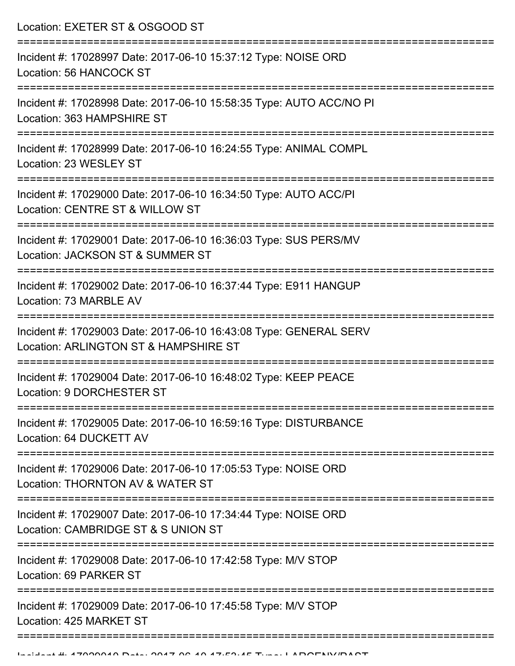Location: EXETER ST & OSGOOD ST =========================================================================== Incident #: 17028997 Date: 2017-06-10 15:37:12 Type: NOISE ORD Location: 56 HANCOCK ST =========================================================================== Incident #: 17028998 Date: 2017-06-10 15:58:35 Type: AUTO ACC/NO PI Location: 363 HAMPSHIRE ST =========================================================================== Incident #: 17028999 Date: 2017-06-10 16:24:55 Type: ANIMAL COMPL Location: 23 WESLEY ST =========================================================================== Incident #: 17029000 Date: 2017-06-10 16:34:50 Type: AUTO ACC/PI Location: CENTRE ST & WILLOW ST =========================================================================== Incident #: 17029001 Date: 2017-06-10 16:36:03 Type: SUS PERS/MV Location: JACKSON ST & SUMMER ST =========================================================================== Incident #: 17029002 Date: 2017-06-10 16:37:44 Type: E911 HANGUP Location: 73 MARBLE AV =========================================================================== Incident #: 17029003 Date: 2017-06-10 16:43:08 Type: GENERAL SERV Location: ARLINGTON ST & HAMPSHIRE ST =========================================================================== Incident #: 17029004 Date: 2017-06-10 16:48:02 Type: KEEP PEACE Location: 9 DORCHESTER ST =========================================================================== Incident #: 17029005 Date: 2017-06-10 16:59:16 Type: DISTURBANCE Location: 64 DUCKETT AV =========================================================================== Incident #: 17029006 Date: 2017-06-10 17:05:53 Type: NOISE ORD Location: THORNTON AV & WATER ST =========================================================================== Incident #: 17029007 Date: 2017-06-10 17:34:44 Type: NOISE ORD Location: CAMBRIDGE ST & S UNION ST =========================================================================== Incident #: 17029008 Date: 2017-06-10 17:42:58 Type: M/V STOP Location: 69 PARKER ST =========================================================================== Incident #: 17029009 Date: 2017-06-10 17:45:58 Type: M/V STOP Location: 425 MARKET ST

======================================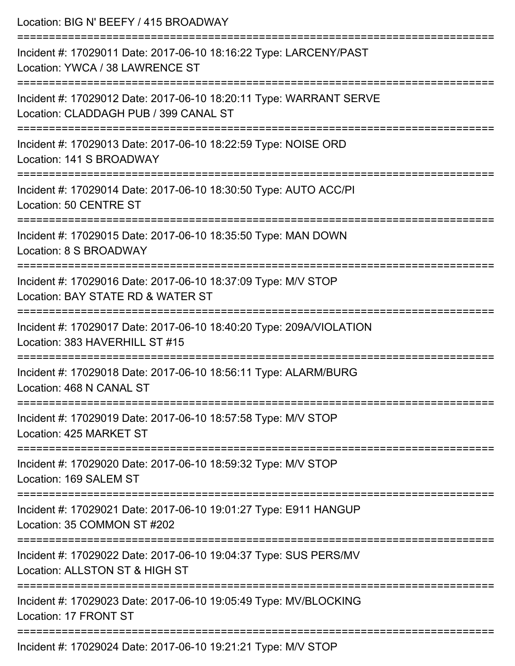| Location: BIG N' BEEFY / 415 BROADWAY                                                                       |
|-------------------------------------------------------------------------------------------------------------|
| Incident #: 17029011 Date: 2017-06-10 18:16:22 Type: LARCENY/PAST<br>Location: YWCA / 38 LAWRENCE ST        |
| Incident #: 17029012 Date: 2017-06-10 18:20:11 Type: WARRANT SERVE<br>Location: CLADDAGH PUB / 399 CANAL ST |
| Incident #: 17029013 Date: 2017-06-10 18:22:59 Type: NOISE ORD<br>Location: 141 S BROADWAY                  |
| Incident #: 17029014 Date: 2017-06-10 18:30:50 Type: AUTO ACC/PI<br>Location: 50 CENTRE ST                  |
| Incident #: 17029015 Date: 2017-06-10 18:35:50 Type: MAN DOWN<br>Location: 8 S BROADWAY                     |
| Incident #: 17029016 Date: 2017-06-10 18:37:09 Type: M/V STOP<br>Location: BAY STATE RD & WATER ST          |
| Incident #: 17029017 Date: 2017-06-10 18:40:20 Type: 209A/VIOLATION<br>Location: 383 HAVERHILL ST #15       |
| Incident #: 17029018 Date: 2017-06-10 18:56:11 Type: ALARM/BURG<br>Location: 468 N CANAL ST                 |
| Incident #: 17029019 Date: 2017-06-10 18:57:58 Type: M/V STOP<br>Location: 425 MARKET ST                    |
| Incident #: 17029020 Date: 2017-06-10 18:59:32 Type: M/V STOP<br>Location: 169 SALEM ST                     |
| Incident #: 17029021 Date: 2017-06-10 19:01:27 Type: E911 HANGUP<br>Location: 35 COMMON ST #202             |
| Incident #: 17029022 Date: 2017-06-10 19:04:37 Type: SUS PERS/MV<br>Location: ALLSTON ST & HIGH ST          |
| Incident #: 17029023 Date: 2017-06-10 19:05:49 Type: MV/BLOCKING<br>Location: 17 FRONT ST                   |
| lnoident #: 17020024 Dete: 2017 06:10 10:21:21 Tune: MAL STOD                                               |

Incident #: 17029024 Date: 2017-06-10 19:21:21 Type: M/V STOP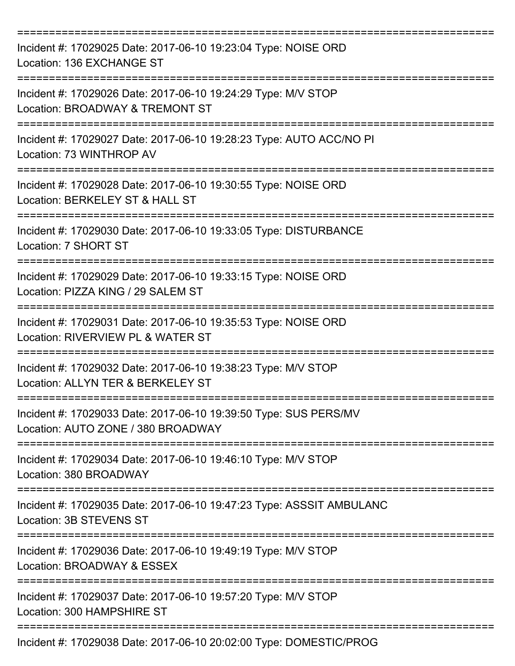| Incident #: 17029025 Date: 2017-06-10 19:23:04 Type: NOISE ORD<br>Location: 136 EXCHANGE ST                         |
|---------------------------------------------------------------------------------------------------------------------|
| Incident #: 17029026 Date: 2017-06-10 19:24:29 Type: M/V STOP<br>Location: BROADWAY & TREMONT ST                    |
| Incident #: 17029027 Date: 2017-06-10 19:28:23 Type: AUTO ACC/NO PI<br>Location: 73 WINTHROP AV                     |
| Incident #: 17029028 Date: 2017-06-10 19:30:55 Type: NOISE ORD<br>Location: BERKELEY ST & HALL ST                   |
| Incident #: 17029030 Date: 2017-06-10 19:33:05 Type: DISTURBANCE<br>Location: 7 SHORT ST                            |
| Incident #: 17029029 Date: 2017-06-10 19:33:15 Type: NOISE ORD<br>Location: PIZZA KING / 29 SALEM ST                |
| Incident #: 17029031 Date: 2017-06-10 19:35:53 Type: NOISE ORD<br>Location: RIVERVIEW PL & WATER ST                 |
| Incident #: 17029032 Date: 2017-06-10 19:38:23 Type: M/V STOP<br>Location: ALLYN TER & BERKELEY ST                  |
| Incident #: 17029033 Date: 2017-06-10 19:39:50 Type: SUS PERS/MV<br>Location: AUTO ZONE / 380 BROADWAY              |
| Incident #: 17029034 Date: 2017-06-10 19:46:10 Type: M/V STOP<br>Location: 380 BROADWAY                             |
| Incident #: 17029035 Date: 2017-06-10 19:47:23 Type: ASSSIT AMBULANC<br>Location: 3B STEVENS ST                     |
| ====================<br>Incident #: 17029036 Date: 2017-06-10 19:49:19 Type: M/V STOP<br>Location: BROADWAY & ESSEX |
| Incident #: 17029037 Date: 2017-06-10 19:57:20 Type: M/V STOP<br>Location: 300 HAMPSHIRE ST                         |
| Incident #: 17029038 Date: 2017-06-10 20:02:00 Type: DOMESTIC/PROG                                                  |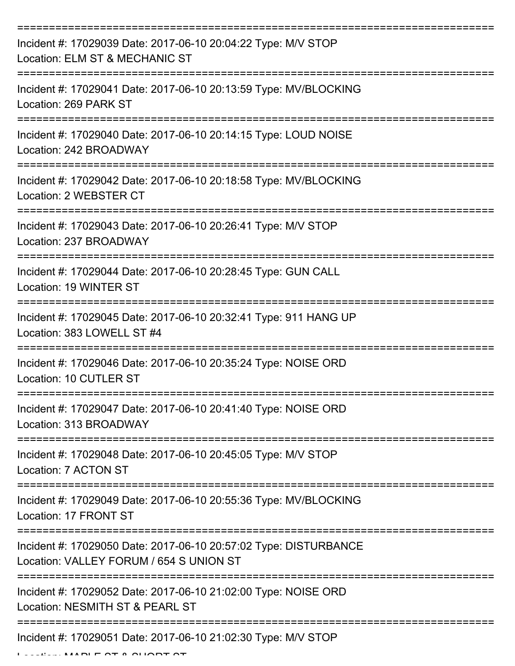| Incident #: 17029039 Date: 2017-06-10 20:04:22 Type: M/V STOP<br>Location: ELM ST & MECHANIC ST             |
|-------------------------------------------------------------------------------------------------------------|
| Incident #: 17029041 Date: 2017-06-10 20:13:59 Type: MV/BLOCKING<br>Location: 269 PARK ST                   |
| Incident #: 17029040 Date: 2017-06-10 20:14:15 Type: LOUD NOISE<br>Location: 242 BROADWAY                   |
| Incident #: 17029042 Date: 2017-06-10 20:18:58 Type: MV/BLOCKING<br>Location: 2 WEBSTER CT                  |
| Incident #: 17029043 Date: 2017-06-10 20:26:41 Type: M/V STOP<br>Location: 237 BROADWAY                     |
| Incident #: 17029044 Date: 2017-06-10 20:28:45 Type: GUN CALL<br>Location: 19 WINTER ST                     |
| Incident #: 17029045 Date: 2017-06-10 20:32:41 Type: 911 HANG UP<br>Location: 383 LOWELL ST #4              |
| Incident #: 17029046 Date: 2017-06-10 20:35:24 Type: NOISE ORD<br>Location: 10 CUTLER ST                    |
| Incident #: 17029047 Date: 2017-06-10 20:41:40 Type: NOISE ORD<br>Location: 313 BROADWAY                    |
| Incident #: 17029048 Date: 2017-06-10 20:45:05 Type: M/V STOP<br>Location: 7 ACTON ST                       |
| Incident #: 17029049 Date: 2017-06-10 20:55:36 Type: MV/BLOCKING<br>Location: 17 FRONT ST                   |
| Incident #: 17029050 Date: 2017-06-10 20:57:02 Type: DISTURBANCE<br>Location: VALLEY FORUM / 654 S UNION ST |
| Incident #: 17029052 Date: 2017-06-10 21:02:00 Type: NOISE ORD<br>Location: NESMITH ST & PEARL ST           |
| Incident #: 17029051 Date: 2017-06-10 21:02:30 Type: M/V STOP                                               |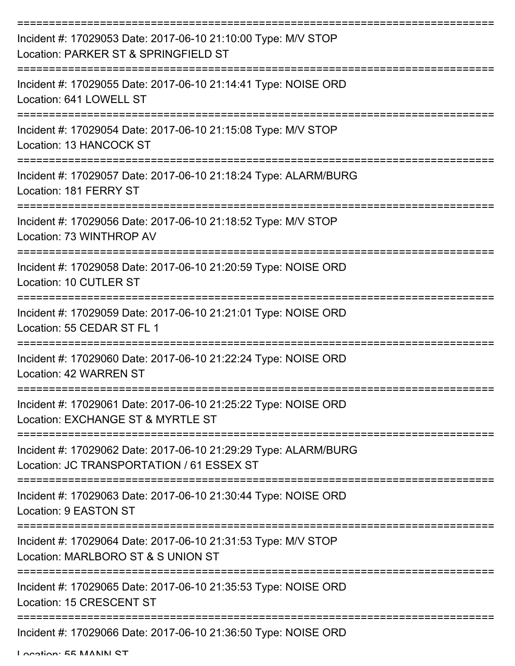| Incident #: 17029053 Date: 2017-06-10 21:10:00 Type: M/V STOP<br>Location: PARKER ST & SPRINGFIELD ST        |
|--------------------------------------------------------------------------------------------------------------|
| Incident #: 17029055 Date: 2017-06-10 21:14:41 Type: NOISE ORD<br>Location: 641 LOWELL ST                    |
| Incident #: 17029054 Date: 2017-06-10 21:15:08 Type: M/V STOP<br>Location: 13 HANCOCK ST                     |
| Incident #: 17029057 Date: 2017-06-10 21:18:24 Type: ALARM/BURG<br>Location: 181 FERRY ST                    |
| Incident #: 17029056 Date: 2017-06-10 21:18:52 Type: M/V STOP<br>Location: 73 WINTHROP AV                    |
| Incident #: 17029058 Date: 2017-06-10 21:20:59 Type: NOISE ORD<br>Location: 10 CUTLER ST                     |
| Incident #: 17029059 Date: 2017-06-10 21:21:01 Type: NOISE ORD<br>Location: 55 CEDAR ST FL 1                 |
| Incident #: 17029060 Date: 2017-06-10 21:22:24 Type: NOISE ORD<br>Location: 42 WARREN ST                     |
| Incident #: 17029061 Date: 2017-06-10 21:25:22 Type: NOISE ORD<br>Location: EXCHANGE ST & MYRTLE ST          |
| Incident #: 17029062 Date: 2017-06-10 21:29:29 Type: ALARM/BURG<br>Location: JC TRANSPORTATION / 61 ESSEX ST |
| Incident #: 17029063 Date: 2017-06-10 21:30:44 Type: NOISE ORD<br>Location: 9 EASTON ST                      |
| Incident #: 17029064 Date: 2017-06-10 21:31:53 Type: M/V STOP<br>Location: MARLBORO ST & S UNION ST          |
| Incident #: 17029065 Date: 2017-06-10 21:35:53 Type: NOISE ORD<br>Location: 15 CRESCENT ST                   |
| Incident #: 17029066 Date: 2017-06-10 21:36:50 Type: NOISE ORD                                               |

Location: 55 MANN ST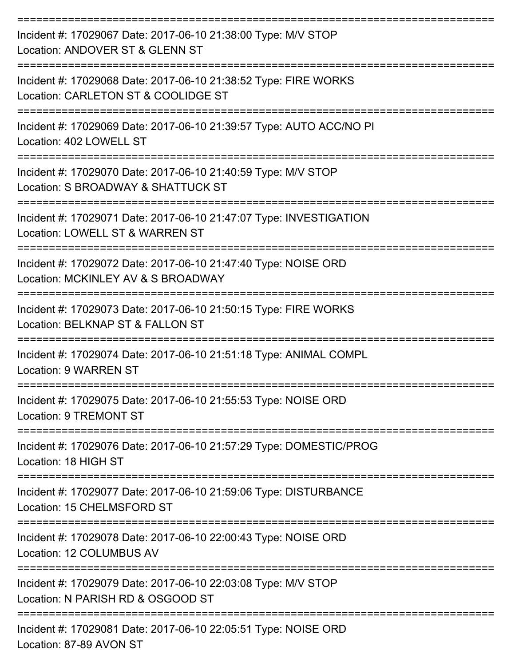| Incident #: 17029067 Date: 2017-06-10 21:38:00 Type: M/V STOP<br>Location: ANDOVER ST & GLENN ST                             |
|------------------------------------------------------------------------------------------------------------------------------|
| Incident #: 17029068 Date: 2017-06-10 21:38:52 Type: FIRE WORKS<br>Location: CARLETON ST & COOLIDGE ST                       |
| Incident #: 17029069 Date: 2017-06-10 21:39:57 Type: AUTO ACC/NO PI<br>Location: 402 LOWELL ST                               |
| Incident #: 17029070 Date: 2017-06-10 21:40:59 Type: M/V STOP<br>Location: S BROADWAY & SHATTUCK ST                          |
| Incident #: 17029071 Date: 2017-06-10 21:47:07 Type: INVESTIGATION<br>Location: LOWELL ST & WARREN ST                        |
| Incident #: 17029072 Date: 2017-06-10 21:47:40 Type: NOISE ORD<br>Location: MCKINLEY AV & S BROADWAY                         |
| Incident #: 17029073 Date: 2017-06-10 21:50:15 Type: FIRE WORKS<br>Location: BELKNAP ST & FALLON ST                          |
| Incident #: 17029074 Date: 2017-06-10 21:51:18 Type: ANIMAL COMPL<br><b>Location: 9 WARREN ST</b>                            |
| Incident #: 17029075 Date: 2017-06-10 21:55:53 Type: NOISE ORD<br>Location: 9 TREMONT ST                                     |
| =================<br>Incident #: 17029076 Date: 2017-06-10 21:57:29 Type: DOMESTIC/PROG<br>Location: 18 HIGH ST              |
| Incident #: 17029077 Date: 2017-06-10 21:59:06 Type: DISTURBANCE<br>Location: 15 CHELMSFORD ST                               |
| =======================<br>Incident #: 17029078 Date: 2017-06-10 22:00:43 Type: NOISE ORD<br><b>Location: 12 COLUMBUS AV</b> |
| Incident #: 17029079 Date: 2017-06-10 22:03:08 Type: M/V STOP<br>Location: N PARISH RD & OSGOOD ST                           |
| Incident #: 17029081 Date: 2017-06-10 22:05:51 Type: NOISE ORD                                                               |

Location: 87-89 AVON ST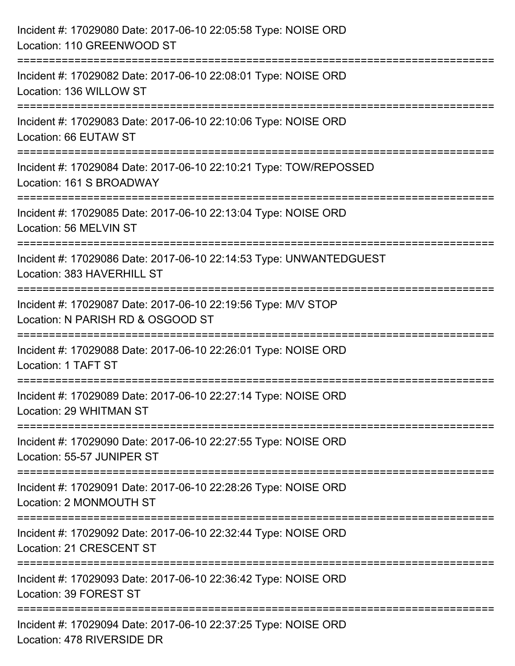| Incident #: 17029080 Date: 2017-06-10 22:05:58 Type: NOISE ORD<br>Location: 110 GREENWOOD ST                                               |
|--------------------------------------------------------------------------------------------------------------------------------------------|
| =================================<br>Incident #: 17029082 Date: 2017-06-10 22:08:01 Type: NOISE ORD<br>Location: 136 WILLOW ST             |
| Incident #: 17029083 Date: 2017-06-10 22:10:06 Type: NOISE ORD<br>Location: 66 EUTAW ST<br>=================================               |
| Incident #: 17029084 Date: 2017-06-10 22:10:21 Type: TOW/REPOSSED<br>Location: 161 S BROADWAY<br>-------------------------------------     |
| Incident #: 17029085 Date: 2017-06-10 22:13:04 Type: NOISE ORD<br>Location: 56 MELVIN ST                                                   |
| Incident #: 17029086 Date: 2017-06-10 22:14:53 Type: UNWANTEDGUEST<br>Location: 383 HAVERHILL ST                                           |
| :===================================<br>Incident #: 17029087 Date: 2017-06-10 22:19:56 Type: M/V STOP<br>Location: N PARISH RD & OSGOOD ST |
| Incident #: 17029088 Date: 2017-06-10 22:26:01 Type: NOISE ORD<br>Location: 1 TAFT ST                                                      |
| Incident #: 17029089 Date: 2017-06-10 22:27:14 Type: NOISE ORD<br>Location: 29 WHITMAN ST                                                  |
| Incident #: 17029090 Date: 2017-06-10 22:27:55 Type: NOISE ORD<br>Location: 55-57 JUNIPER ST                                               |
| Incident #: 17029091 Date: 2017-06-10 22:28:26 Type: NOISE ORD<br>Location: 2 MONMOUTH ST                                                  |
| Incident #: 17029092 Date: 2017-06-10 22:32:44 Type: NOISE ORD<br>Location: 21 CRESCENT ST                                                 |
| Incident #: 17029093 Date: 2017-06-10 22:36:42 Type: NOISE ORD<br>Location: 39 FOREST ST                                                   |
| Incident #: 17029094 Date: 2017-06-10 22:37:25 Type: NOISE ORD<br>Location: 478 RIVERSIDE DR                                               |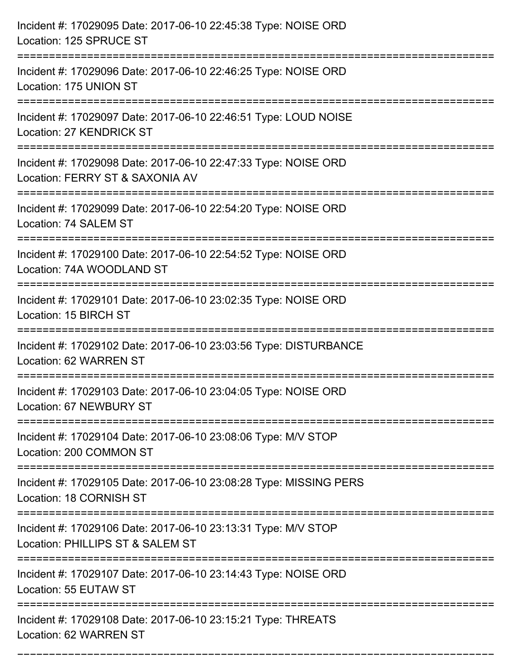| Incident #: 17029095 Date: 2017-06-10 22:45:38 Type: NOISE ORD<br>Location: 125 SPRUCE ST                                                              |
|--------------------------------------------------------------------------------------------------------------------------------------------------------|
| Incident #: 17029096 Date: 2017-06-10 22:46:25 Type: NOISE ORD<br>Location: 175 UNION ST                                                               |
| Incident #: 17029097 Date: 2017-06-10 22:46:51 Type: LOUD NOISE<br>Location: 27 KENDRICK ST                                                            |
| Incident #: 17029098 Date: 2017-06-10 22:47:33 Type: NOISE ORD<br>Location: FERRY ST & SAXONIA AV                                                      |
| Incident #: 17029099 Date: 2017-06-10 22:54:20 Type: NOISE ORD<br>Location: 74 SALEM ST                                                                |
| Incident #: 17029100 Date: 2017-06-10 22:54:52 Type: NOISE ORD<br>Location: 74A WOODLAND ST                                                            |
| Incident #: 17029101 Date: 2017-06-10 23:02:35 Type: NOISE ORD<br>Location: 15 BIRCH ST                                                                |
| Incident #: 17029102 Date: 2017-06-10 23:03:56 Type: DISTURBANCE<br>Location: 62 WARREN ST                                                             |
| Incident #: 17029103 Date: 2017-06-10 23:04:05 Type: NOISE ORD<br>Location: 67 NEWBURY ST                                                              |
| Incident #: 17029104 Date: 2017-06-10 23:08:06 Type: M/V STOP<br>Location: 200 COMMON ST<br>-----------------------------<br>------------------------- |
| Incident #: 17029105 Date: 2017-06-10 23:08:28 Type: MISSING PERS<br>Location: 18 CORNISH ST                                                           |
| Incident #: 17029106 Date: 2017-06-10 23:13:31 Type: M/V STOP<br>Location: PHILLIPS ST & SALEM ST                                                      |
| Incident #: 17029107 Date: 2017-06-10 23:14:43 Type: NOISE ORD<br>Location: 55 EUTAW ST                                                                |
| Incident #: 17029108 Date: 2017-06-10 23:15:21 Type: THREATS<br>Location: 62 WARREN ST                                                                 |

===========================================================================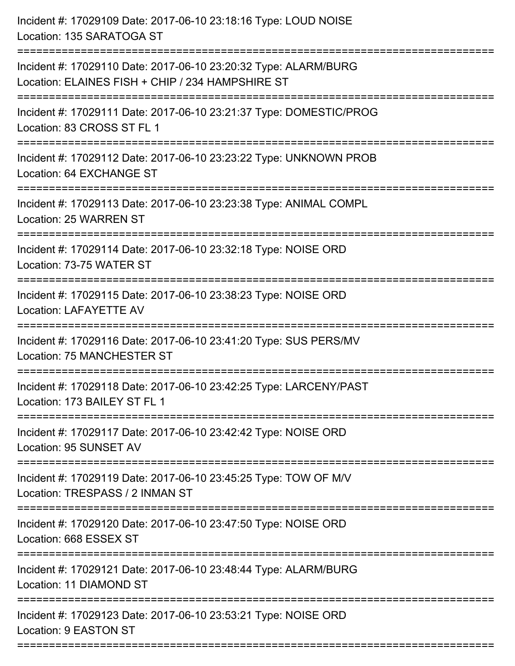| Incident #: 17029109 Date: 2017-06-10 23:18:16 Type: LOUD NOISE<br>Location: 135 SARATOGA ST                         |
|----------------------------------------------------------------------------------------------------------------------|
| Incident #: 17029110 Date: 2017-06-10 23:20:32 Type: ALARM/BURG<br>Location: ELAINES FISH + CHIP / 234 HAMPSHIRE ST  |
| Incident #: 17029111 Date: 2017-06-10 23:21:37 Type: DOMESTIC/PROG<br>Location: 83 CROSS ST FL 1                     |
| Incident #: 17029112 Date: 2017-06-10 23:23:22 Type: UNKNOWN PROB<br>Location: 64 EXCHANGE ST                        |
| Incident #: 17029113 Date: 2017-06-10 23:23:38 Type: ANIMAL COMPL<br>Location: 25 WARREN ST                          |
| Incident #: 17029114 Date: 2017-06-10 23:32:18 Type: NOISE ORD<br>Location: 73-75 WATER ST                           |
| Incident #: 17029115 Date: 2017-06-10 23:38:23 Type: NOISE ORD<br><b>Location: LAFAYETTE AV</b>                      |
| Incident #: 17029116 Date: 2017-06-10 23:41:20 Type: SUS PERS/MV<br>Location: 75 MANCHESTER ST                       |
| Incident #: 17029118 Date: 2017-06-10 23:42:25 Type: LARCENY/PAST<br>Location: 173 BAILEY ST FL 1                    |
| Incident #: 17029117 Date: 2017-06-10 23:42:42 Type: NOISE ORD<br>Location: 95 SUNSET AV                             |
| Incident #: 17029119 Date: 2017-06-10 23:45:25 Type: TOW OF M/V<br>Location: TRESPASS / 2 INMAN ST                   |
| Incident #: 17029120 Date: 2017-06-10 23:47:50 Type: NOISE ORD<br>Location: 668 ESSEX ST                             |
| ======================<br>Incident #: 17029121 Date: 2017-06-10 23:48:44 Type: ALARM/BURG<br>Location: 11 DIAMOND ST |
| Incident #: 17029123 Date: 2017-06-10 23:53:21 Type: NOISE ORD<br>Location: 9 EASTON ST                              |
|                                                                                                                      |